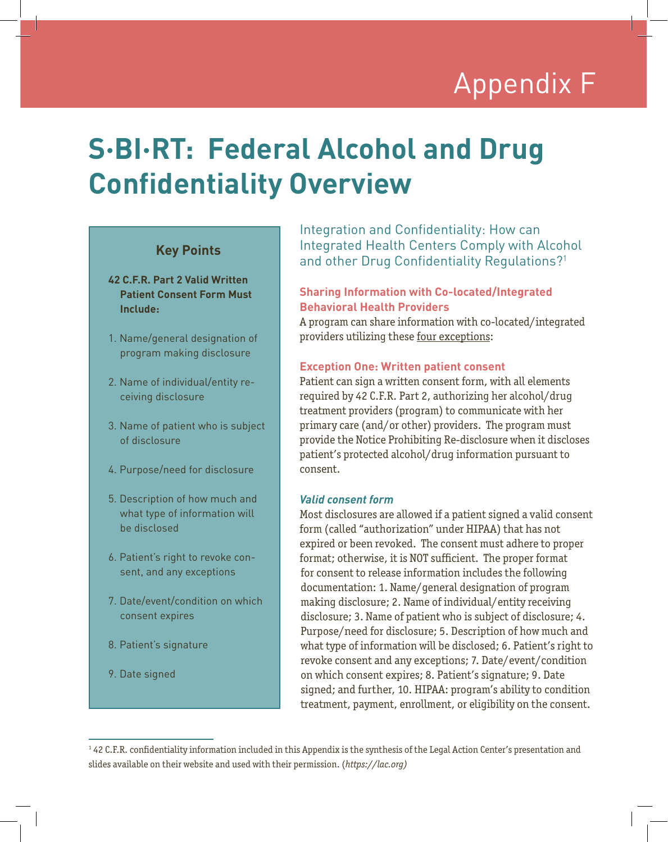# Appendix F Appendix F

## **S·BI·RT: Federal Alcohol and Drug Confidentiality Overview**

## **Key Points**

- **42 C.F.R. Part 2 Valid Written Patient Consent Form Must Include:**
- 1. Name/general designation of program making disclosure
- 2. Name of individual/entity receiving disclosure
- 3. Name of patient who is subject of disclosure
- 4. Purpose/need for disclosure
- 5. Description of how much and what type of information will be disclosed
- 6. Patient's right to revoke consent, and any exceptions
- 7. Date/event/condition on which consent expires
- 8. Patient's signature
- 9. Date signed

Integration and Confidentiality: How can Integrated Health Centers Comply with Alcohol and other Drug Confidentiality Regulations?<sup>1</sup>

### **Sharing Information with Co-located/Integrated Behavioral Health Providers**

A program can share information with co-located/integrated providers utilizing these four exceptions:

#### **Exception One: Written patient consent**

Patient can sign a written consent form, with all elements required by 42 C.F.R. Part 2, authorizing her alcohol/drug treatment providers (program) to communicate with her primary care (and/or other) providers. The program must provide the Notice Prohibiting Re-disclosure when it discloses patient's protected alcohol/drug information pursuant to consent.

#### *Valid consent form*

Most disclosures are allowed if a patient signed a valid consent form (called "authorization" under HIPAA) that has not expired or been revoked. The consent must adhere to proper format; otherwise, it is NOT sufficient. The proper format for consent to release information includes the following documentation: 1. Name/general designation of program making disclosure; 2. Name of individual/entity receiving disclosure; 3. Name of patient who is subject of disclosure; 4. Purpose/need for disclosure; 5. Description of how much and what type of information will be disclosed; 6. Patient's right to revoke consent and any exceptions; 7. Date/event/condition on which consent expires; 8. Patient's signature; 9. Date signed; and further, 10. HIPAA: program's ability to condition treatment, payment, enrollment, or eligibility on the consent.

<sup>&</sup>lt;sup>1</sup> 42 C.F.R. confidentiality information included in this Appendix is the synthesis of the Legal Action Center's presentation and slides available on their website and used with their permission. (*https://lac.org)*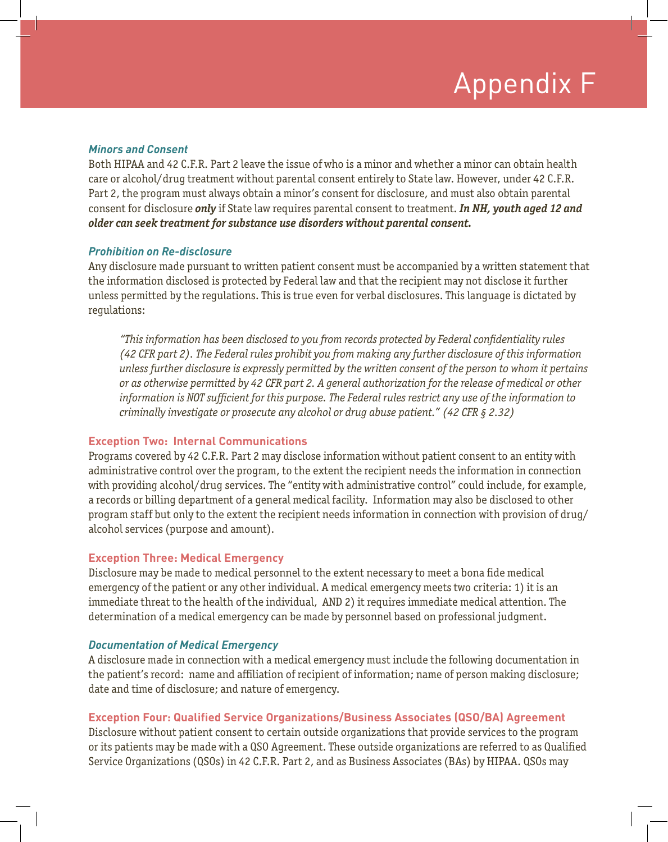# Appendix F

#### *Minors and Consent*

Both HIPAA and 42 C.F.R. Part 2 leave the issue of who is a minor and whether a minor can obtain health care or alcohol/drug treatment without parental consent entirely to State law. However, under 42 C.F.R. Part 2, the program must always obtain a minor's consent for disclosure, and must also obtain parental consent for disclosure *only* if State law requires parental consent to treatment. *In NH, youth aged 12 and older can seek treatment for substance use disorders without parental consent.* 

#### *Prohibition on Re-disclosure*

Any disclosure made pursuant to written patient consent must be accompanied by a written statement that the information disclosed is protected by Federal law and that the recipient may not disclose it further unless permitted by the regulations. This is true even for verbal disclosures. This language is dictated by regulations:

*"This information has been disclosed to you from records protected by Federal confidentiality rules (42 CFR part 2). The Federal rules prohibit you from making any further disclosure of this information unless further disclosure is expressly permitted by the written consent of the person to whom it pertains or as otherwise permitted by 42 CFR part 2. A general authorization for the release of medical or other information is NOT sufficient for this purpose. The Federal rules restrict any use of the information to criminally investigate or prosecute any alcohol or drug abuse patient." (42 CFR § 2.32)*

#### **Exception Two: Internal Communications**

Programs covered by 42 C.F.R. Part 2 may disclose information without patient consent to an entity with administrative control over the program, to the extent the recipient needs the information in connection with providing alcohol/drug services. The "entity with administrative control" could include, for example, a records or billing department of a general medical facility. Information may also be disclosed to other program staff but only to the extent the recipient needs information in connection with provision of drug/ alcohol services (purpose and amount).

#### **Exception Three: Medical Emergency**

Disclosure may be made to medical personnel to the extent necessary to meet a bona fide medical emergency of the patient or any other individual. A medical emergency meets two criteria: 1) it is an immediate threat to the health of the individual, AND 2) it requires immediate medical attention. The determination of a medical emergency can be made by personnel based on professional judgment.

#### *Documentation of Medical Emergency*

A disclosure made in connection with a medical emergency must include the following documentation in the patient's record: name and affiliation of recipient of information; name of person making disclosure; date and time of disclosure; and nature of emergency.

#### **Exception Four: Qualified Service Organizations/Business Associates (QSO/BA) Agreement**

Disclosure without patient consent to certain outside organizations that provide services to the program or its patients may be made with a QSO Agreement. These outside organizations are referred to as Qualified Service Organizations (QSOs) in 42 C.F.R. Part 2, and as Business Associates (BAs) by HIPAA. QSOs may